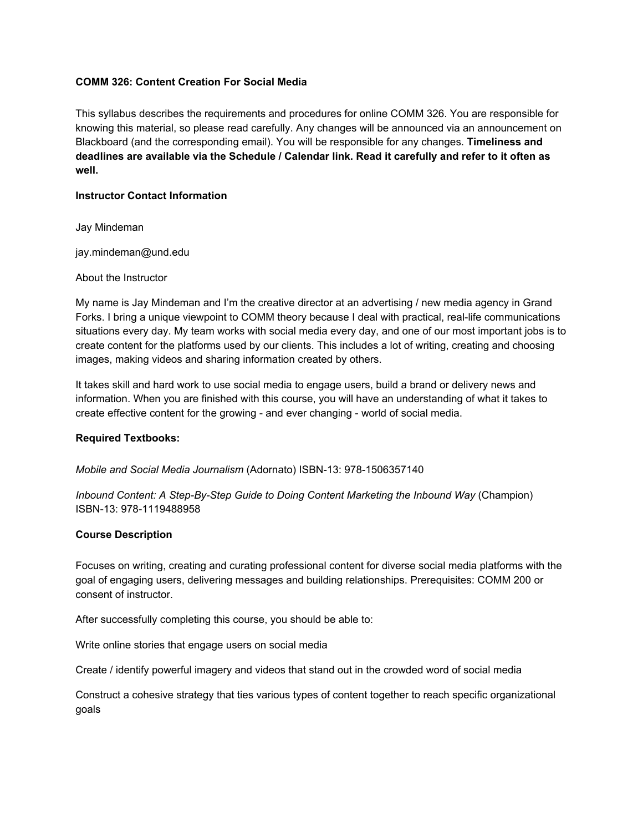## **COMM 326: Content Creation For Social Media**

This syllabus describes the requirements and procedures for online COMM 326. You are responsible for knowing this material, so please read carefully. Any changes will be announced via an announcement on Blackboard (and the corresponding email). You will be responsible for any changes. **Timeliness and** deadlines are available via the Schedule / Calendar link. Read it carefully and refer to it often as **well.**

### **Instructor Contact Information**

Jay Mindeman

jay.mindeman@und.edu

### About the Instructor

My name is Jay Mindeman and I'm the creative director at an advertising / new media agency in Grand Forks. I bring a unique viewpoint to COMM theory because I deal with practical, real-life communications situations every day. My team works with social media every day, and one of our most important jobs is to create content for the platforms used by our clients. This includes a lot of writing, creating and choosing images, making videos and sharing information created by others.

It takes skill and hard work to use social media to engage users, build a brand or delivery news and information. When you are finished with this course, you will have an understanding of what it takes to create effective content for the growing - and ever changing - world of social media.

### **Required Textbooks:**

*Mobile and Social Media Journalism* (Adornato) ISBN-13: 978-1506357140

*Inbound Content: A Step-By-Step Guide to Doing Content Marketing the Inbound Way* (Champion) ISBN-13: 978-1119488958

# **Course Description**

Focuses on writing, creating and curating professional content for diverse social media platforms with the goal of engaging users, delivering messages and building relationships. Prerequisites: COMM 200 or consent of instructor.

After successfully completing this course, you should be able to:

Write online stories that engage users on social media

Create / identify powerful imagery and videos that stand out in the crowded word of social media

Construct a cohesive strategy that ties various types of content together to reach specific organizational goals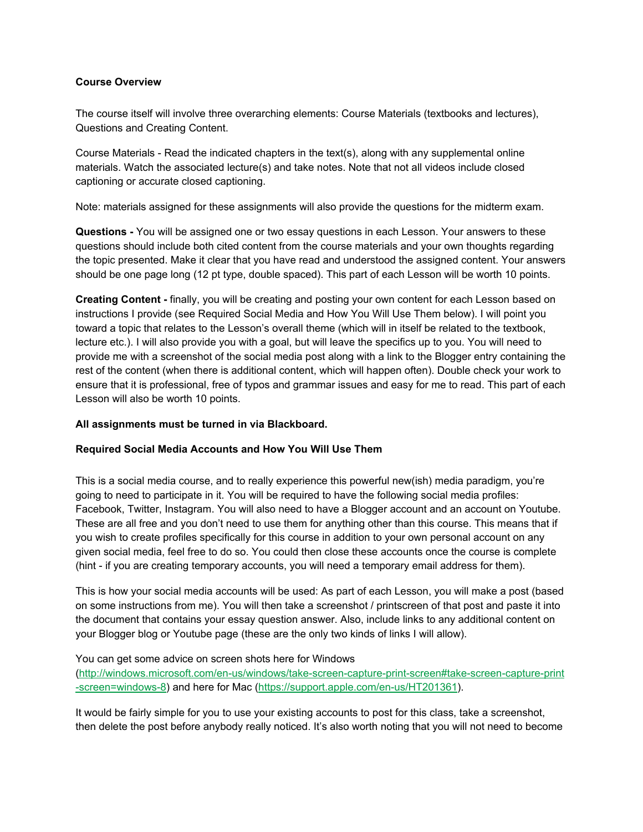## **Course Overview**

The course itself will involve three overarching elements: Course Materials (textbooks and lectures), Questions and Creating Content.

Course Materials - Read the indicated chapters in the text(s), along with any supplemental online materials. Watch the associated lecture(s) and take notes. Note that not all videos include closed captioning or accurate closed captioning.

Note: materials assigned for these assignments will also provide the questions for the midterm exam.

**Questions -** You will be assigned one or two essay questions in each Lesson. Your answers to these questions should include both cited content from the course materials and your own thoughts regarding the topic presented. Make it clear that you have read and understood the assigned content. Your answers should be one page long (12 pt type, double spaced). This part of each Lesson will be worth 10 points.

**Creating Content -** finally, you will be creating and posting your own content for each Lesson based on instructions I provide (see Required Social Media and How You Will Use Them below). I will point you toward a topic that relates to the Lesson's overall theme (which will in itself be related to the textbook, lecture etc.). I will also provide you with a goal, but will leave the specifics up to you. You will need to provide me with a screenshot of the social media post along with a link to the Blogger entry containing the rest of the content (when there is additional content, which will happen often). Double check your work to ensure that it is professional, free of typos and grammar issues and easy for me to read. This part of each Lesson will also be worth 10 points.

# **All assignments must be turned in via Blackboard.**

# **Required Social Media Accounts and How You Will Use Them**

This is a social media course, and to really experience this powerful new(ish) media paradigm, you're going to need to participate in it. You will be required to have the following social media profiles: Facebook, Twitter, Instagram. You will also need to have a Blogger account and an account on Youtube. These are all free and you don't need to use them for anything other than this course. This means that if you wish to create profiles specifically for this course in addition to your own personal account on any given social media, feel free to do so. You could then close these accounts once the course is complete (hint - if you are creating temporary accounts, you will need a temporary email address for them).

This is how your social media accounts will be used: As part of each Lesson, you will make a post (based on some instructions from me). You will then take a screenshot / printscreen of that post and paste it into the document that contains your essay question answer. Also, include links to any additional content on your Blogger blog or Youtube page (these are the only two kinds of links I will allow).

### You can get some advice on screen shots here for Windows

[\(http://windows.microsoft.com/en-us/windows/take-screen-capture-print-screen#take-screen-capture-print](http://windows.microsoft.com/en-us/windows/take-screen-capture-print-screen#take-screen-capture-print-screen=windows-8) [-screen=windows-8](http://windows.microsoft.com/en-us/windows/take-screen-capture-print-screen#take-screen-capture-print-screen=windows-8)) and here for Mac [\(https://support.apple.com/en-us/HT201361\)](https://support.apple.com/en-us/HT201361).

It would be fairly simple for you to use your existing accounts to post for this class, take a screenshot, then delete the post before anybody really noticed. It's also worth noting that you will not need to become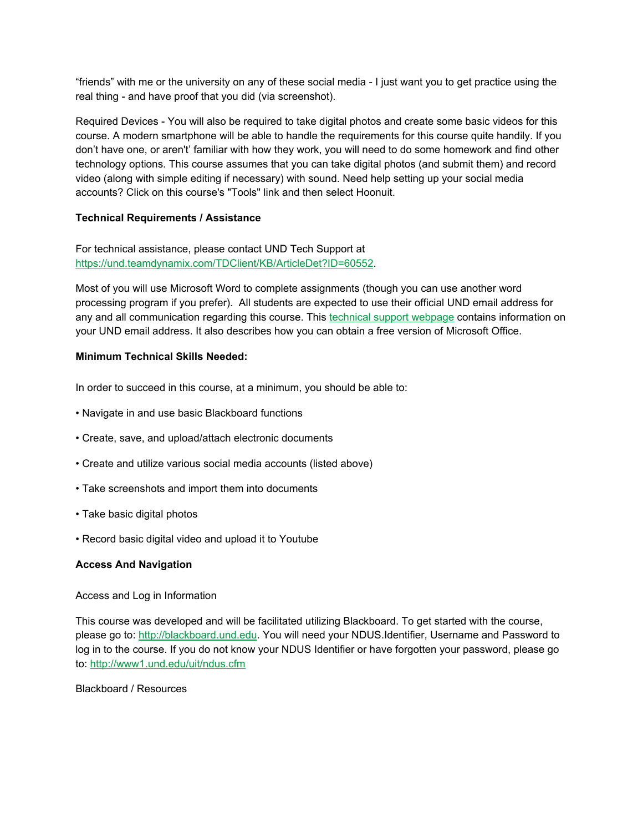"friends" with me or the university on any of these social media - I just want you to get practice using the real thing - and have proof that you did (via screenshot).

Required Devices - You will also be required to take digital photos and create some basic videos for this course. A modern smartphone will be able to handle the requirements for this course quite handily. If you don't have one, or aren't' familiar with how they work, you will need to do some homework and find other technology options. This course assumes that you can take digital photos (and submit them) and record video (along with simple editing if necessary) with sound. Need help setting up your social media accounts? Click on this course's "Tools" link and then select Hoonuit.

# **Technical Requirements / Assistance**

For technical assistance, please contact UND Tech Support at [https://und.teamdynamix.com/TDClient/KB/ArticleDet?ID=60552.](https://und.teamdynamix.com/TDClient/KB/ArticleDet?ID=60552)

Most of you will use Microsoft Word to complete assignments (though you can use another word processing program if you prefer). All students are expected to use their official UND email address for any and all communication regarding this course. This **technical support [webpage](https://und.edu/uit/email.html) contains information** on your UND email address. It also describes how you can obtain a free version of Microsoft Office.

# **Minimum Technical Skills Needed:**

In order to succeed in this course, at a minimum, you should be able to:

- Navigate in and use basic Blackboard functions
- Create, save, and upload/attach electronic documents
- Create and utilize various social media accounts (listed above)
- Take screenshots and import them into documents
- Take basic digital photos
- Record basic digital video and upload it to Youtube

# **Access And Navigation**

Access and Log in Information

This course was developed and will be facilitated utilizing Blackboard. To get started with the course, please go to: [http://blackboard.und.edu](http://blackboard.und.edu/). You will need your NDUS.Identifier, Username and Password to log in to the course. If you do not know your NDUS Identifier or have forgotten your password, please go to: <http://www1.und.edu/uit/ndus.cfm>

# Blackboard / Resources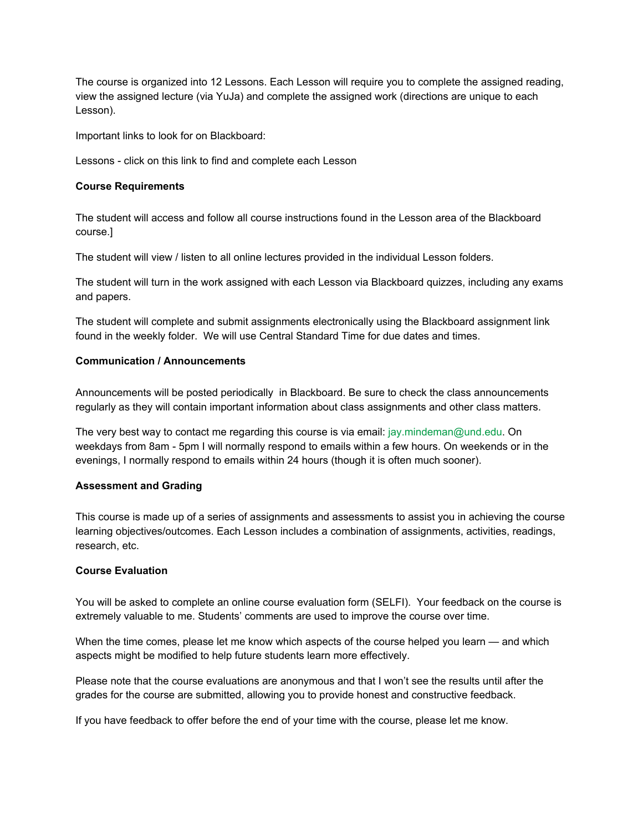The course is organized into 12 Lessons. Each Lesson will require you to complete the assigned reading, view the assigned lecture (via YuJa) and complete the assigned work (directions are unique to each Lesson).

Important links to look for on Blackboard:

Lessons - click on this link to find and complete each Lesson

### **Course Requirements**

The student will access and follow all course instructions found in the Lesson area of the Blackboard course.]

The student will view / listen to all online lectures provided in the individual Lesson folders.

The student will turn in the work assigned with each Lesson via Blackboard quizzes, including any exams and papers.

The student will complete and submit assignments electronically using the Blackboard assignment link found in the weekly folder. We will use Central Standard Time for due dates and times.

## **Communication / Announcements**

Announcements will be posted periodically in Blackboard. Be sure to check the class announcements regularly as they will contain important information about class assignments and other class matters.

The very best way to contact me regarding this course is via email: jay.mindeman@und.edu. On weekdays from 8am - 5pm I will normally respond to emails within a few hours. On weekends or in the evenings, I normally respond to emails within 24 hours (though it is often much sooner).

### **Assessment and Grading**

This course is made up of a series of assignments and assessments to assist you in achieving the course learning objectives/outcomes. Each Lesson includes a combination of assignments, activities, readings, research, etc.

### **Course Evaluation**

You will be asked to complete an online course evaluation form (SELFI). Your feedback on the course is extremely valuable to me. Students' comments are used to improve the course over time.

When the time comes, please let me know which aspects of the course helped you learn — and which aspects might be modified to help future students learn more effectively.

Please note that the course evaluations are anonymous and that I won't see the results until after the grades for the course are submitted, allowing you to provide honest and constructive feedback.

If you have feedback to offer before the end of your time with the course, please let me know.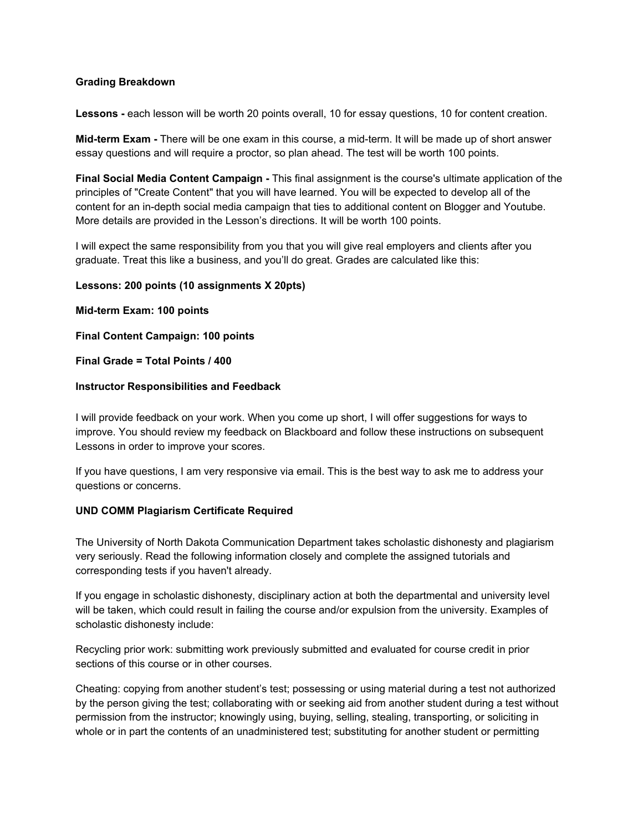## **Grading Breakdown**

**Lessons -** each lesson will be worth 20 points overall, 10 for essay questions, 10 for content creation.

**Mid-term Exam -** There will be one exam in this course, a mid-term. It will be made up of short answer essay questions and will require a proctor, so plan ahead. The test will be worth 100 points.

**Final Social Media Content Campaign -** This final assignment is the course's ultimate application of the principles of "Create Content" that you will have learned. You will be expected to develop all of the content for an in-depth social media campaign that ties to additional content on Blogger and Youtube. More details are provided in the Lesson's directions. It will be worth 100 points.

I will expect the same responsibility from you that you will give real employers and clients after you graduate. Treat this like a business, and you'll do great. Grades are calculated like this:

### **Lessons: 200 points (10 assignments X 20pts)**

**Mid-term Exam: 100 points**

**Final Content Campaign: 100 points**

## **Final Grade = Total Points / 400**

## **Instructor Responsibilities and Feedback**

I will provide feedback on your work. When you come up short, I will offer suggestions for ways to improve. You should review my feedback on Blackboard and follow these instructions on subsequent Lessons in order to improve your scores.

If you have questions, I am very responsive via email. This is the best way to ask me to address your questions or concerns.

# **UND COMM Plagiarism Certificate Required**

The University of North Dakota Communication Department takes scholastic dishonesty and plagiarism very seriously. Read the following information closely and complete the assigned tutorials and corresponding tests if you haven't already.

If you engage in scholastic dishonesty, disciplinary action at both the departmental and university level will be taken, which could result in failing the course and/or expulsion from the university. Examples of scholastic dishonesty include:

Recycling prior work: submitting work previously submitted and evaluated for course credit in prior sections of this course or in other courses.

Cheating: copying from another student's test; possessing or using material during a test not authorized by the person giving the test; collaborating with or seeking aid from another student during a test without permission from the instructor; knowingly using, buying, selling, stealing, transporting, or soliciting in whole or in part the contents of an unadministered test; substituting for another student or permitting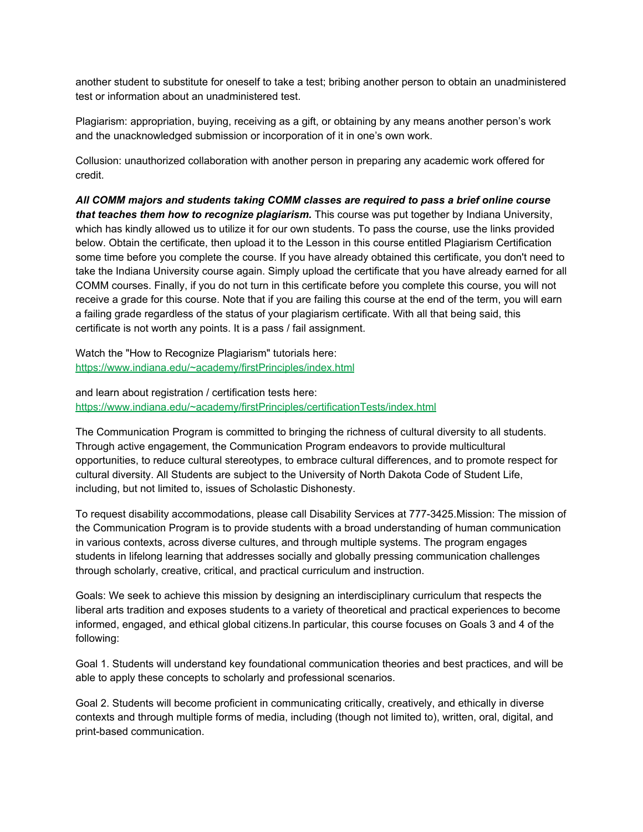another student to substitute for oneself to take a test; bribing another person to obtain an unadministered test or information about an unadministered test.

Plagiarism: appropriation, buying, receiving as a gift, or obtaining by any means another person's work and the unacknowledged submission or incorporation of it in one's own work.

Collusion: unauthorized collaboration with another person in preparing any academic work offered for credit.

*All COMM majors and students taking COMM classes are required to pass a brief online course that teaches them how to recognize plagiarism.* This course was put together by Indiana University, which has kindly allowed us to utilize it for our own students. To pass the course, use the links provided below. Obtain the certificate, then upload it to the Lesson in this course entitled Plagiarism Certification some time before you complete the course. If you have already obtained this certificate, you don't need to take the Indiana University course again. Simply upload the certificate that you have already earned for all COMM courses. Finally, if you do not turn in this certificate before you complete this course, you will not receive a grade for this course. Note that if you are failing this course at the end of the term, you will earn a failing grade regardless of the status of your plagiarism certificate. With all that being said, this certificate is not worth any points. It is a pass / fail assignment.

Watch the "How to Recognize Plagiarism" tutorials here: <https://www.indiana.edu/~academy/firstPrinciples/index.html>

and learn about registration / certification tests here: <https://www.indiana.edu/~academy/firstPrinciples/certificationTests/index.html>

The Communication Program is committed to bringing the richness of cultural diversity to all students. Through active engagement, the Communication Program endeavors to provide multicultural opportunities, to reduce cultural stereotypes, to embrace cultural differences, and to promote respect for cultural diversity. All Students are subject to the University of North Dakota Code of Student Life, including, but not limited to, issues of Scholastic Dishonesty.

To request disability accommodations, please call Disability Services at 777-3425.Mission: The mission of the Communication Program is to provide students with a broad understanding of human communication in various contexts, across diverse cultures, and through multiple systems. The program engages students in lifelong learning that addresses socially and globally pressing communication challenges through scholarly, creative, critical, and practical curriculum and instruction.

Goals: We seek to achieve this mission by designing an interdisciplinary curriculum that respects the liberal arts tradition and exposes students to a variety of theoretical and practical experiences to become informed, engaged, and ethical global citizens.In particular, this course focuses on Goals 3 and 4 of the following:

Goal 1. Students will understand key foundational communication theories and best practices, and will be able to apply these concepts to scholarly and professional scenarios.

Goal 2. Students will become proficient in communicating critically, creatively, and ethically in diverse contexts and through multiple forms of media, including (though not limited to), written, oral, digital, and print-based communication.